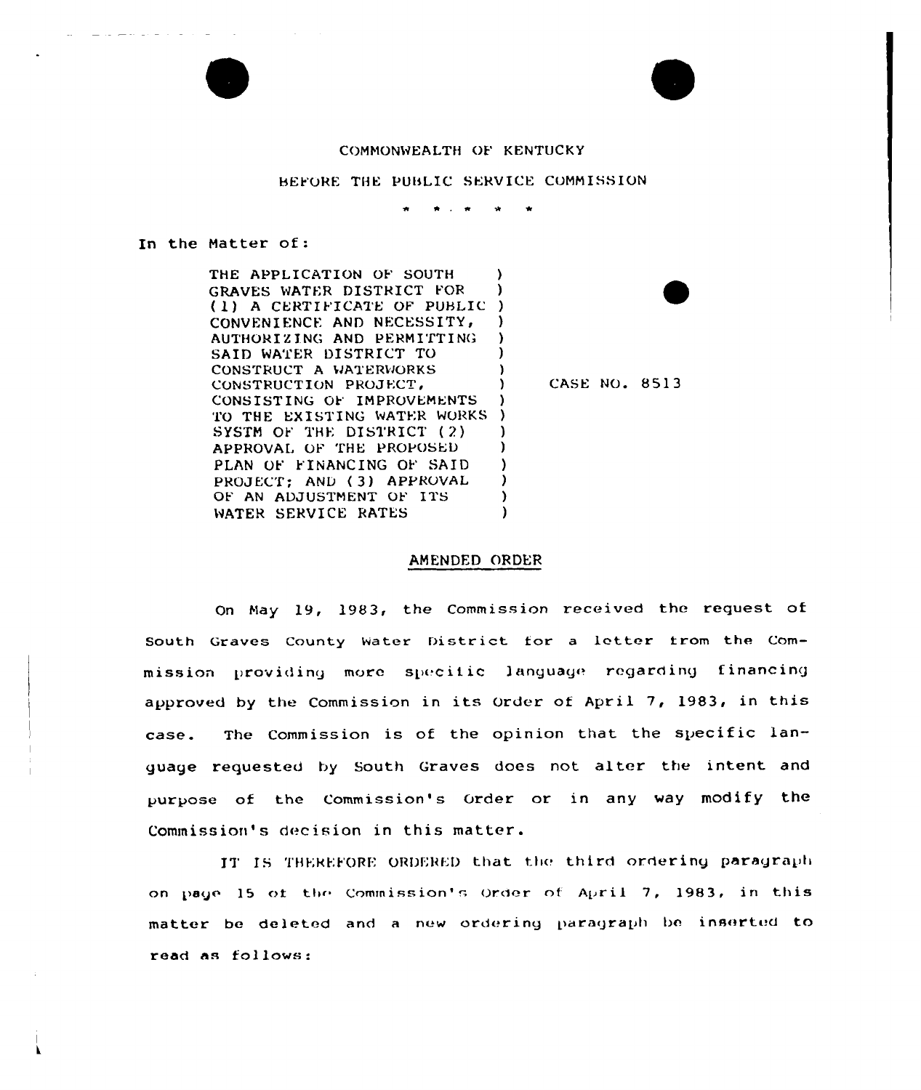## COMMONWEALTH OF KENTUCKY

BEFORE THE PUBLIC SERVICE COMMISSION

## In the Matter of:

THE APPLICATION OF SOUTH A GRAVES WATER DISTRICT FOR -) (1) A CERTIFICATE OF PUBLIC) CONVENIENCE AND NECESSITY, Δ. AUTHORIZING AND PERMITTING SAID WATER DISTRICT TO CONSTRUCT A WATERWORKS **CASE NO. 8513** CONSTRUCTION PROJECT, CONSISTING OF IMPROVEMENTS -1 TO THE EXISTING WATER WORKS ) SYSTM OF THE DISTRICT (2) -1 APPROVAL OF THE PROPOSED <sup>1</sup> PLAN OF FINANCING OF SAID -1 PROJECT: AND (3) APPROVAL - 1 OF AN ADJUSTMENT OF ITS ١. WATER SERVICE RATES <sup>1</sup>

## AMENDED ORDER

On May 19, 1983, the Commission received the request of South Graves County Water District for a letter from the Commission providing more specific language regarding financing approved by the Commission in its Order of April 7, 1983, in this The Commission is of the opinion that the specific lancase. guage requested by South Graves does not alter the intent and purpose of the Commission's Order or in any way modify the Commission's decision in this matter.

IT IS THEREFORE ORDERED that the third ordering paragraph on page 15 of the Commission's Order of April 7, 1983, in this matter be deleted and a new ordering paragraph be inserted to read as follows: